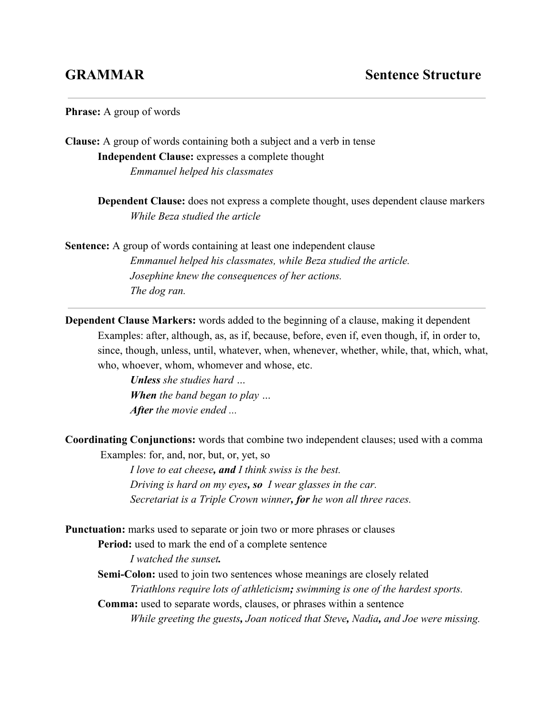## **Phrase:** A group of words

**Clause:** A group of words containing both a subject and a verb in tense **Independent Clause:** expresses a complete thought *Emmanuel helped his classmates*

> **Dependent Clause:** does not express a complete thought, uses dependent clause markers *While Beza studied the article*

**Sentence:** A group of words containing at least one independent clause *Emmanuel helped his classmates, while Beza studied the article. Josephine knew the consequences of her actions. The dog ran.*

**Dependent Clause Markers:** words added to the beginning of a clause, making it dependent Examples: after, although, as, as if, because, before, even if, even though, if, in order to, since, though, unless, until, whatever, when, whenever, whether, while, that, which, what, who, whoever, whom, whomever and whose, etc.

> *Unlessshe studies hard … When the band began to play … After the movie ended ...*

**Coordinating Conjunctions:** words that combine two independent clauses; used with a comma Examples: for, and, nor, but, or, yet, so

> *I love to eat cheese, andI think swiss is the best. Driving is hard on my eyes, so I wear glasses in the car. Secretariat is a Triple Crown winner, for he won all three races.*

**Punctuation:** marks used to separate or join two or more phrases or clauses

**Period:** used to mark the end of a complete sentence

*I watched the sunset.*

**Semi-Colon:** used to join two sentences whose meanings are closely related *Triathlons require lots of athleticism; swimming is one of the hardest sports.* **Comma:** used to separate words, clauses, or phrases within a sentence

*While greeting the guests, Joan noticed that Steve, Nadia, and Joe were missing.*